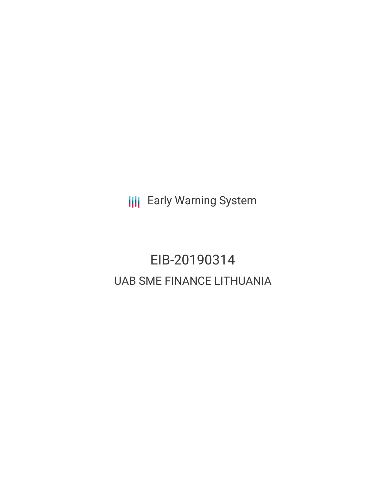**III** Early Warning System

# EIB-20190314 UAB SME FINANCE LITHUANIA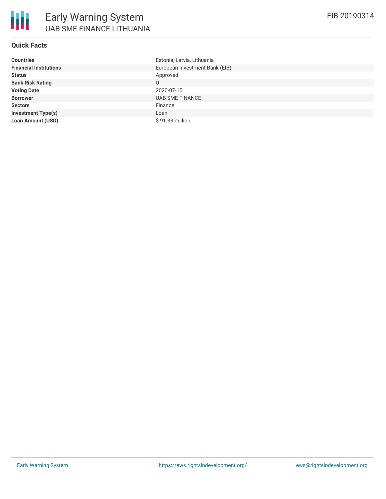## **Quick Facts**

| <b>Countries</b>              | Estonia, Latvia, Lithuania     |
|-------------------------------|--------------------------------|
| <b>Financial Institutions</b> | European Investment Bank (EIB) |
| <b>Status</b>                 | Approved                       |
| <b>Bank Risk Rating</b>       | U                              |
| <b>Voting Date</b>            | 2020-07-15                     |
| <b>Borrower</b>               | <b>UAB SME FINANCE</b>         |
| <b>Sectors</b>                | Finance                        |
| <b>Investment Type(s)</b>     | Loan                           |
| <b>Loan Amount (USD)</b>      | $$91.33$ million               |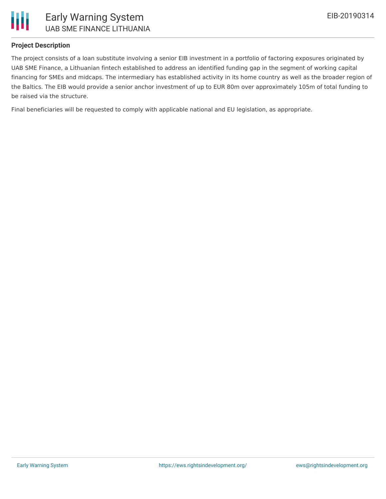

### **Project Description**

The project consists of a loan substitute involving a senior EIB investment in a portfolio of factoring exposures originated by UAB SME Finance, a Lithuanian fintech established to address an identified funding gap in the segment of working capital financing for SMEs and midcaps. The intermediary has established activity in its home country as well as the broader region of the Baltics. The EIB would provide a senior anchor investment of up to EUR 80m over approximately 105m of total funding to be raised via the structure.

Final beneficiaries will be requested to comply with applicable national and EU legislation, as appropriate.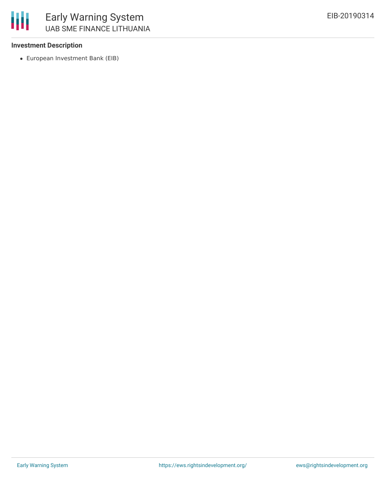

#### **Investment Description**

European Investment Bank (EIB)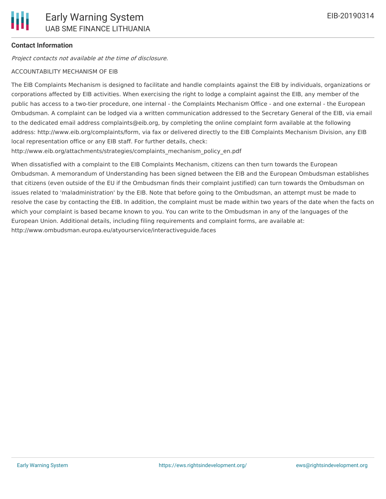## **Contact Information**

Project contacts not available at the time of disclosure.

#### ACCOUNTABILITY MECHANISM OF EIB

The EIB Complaints Mechanism is designed to facilitate and handle complaints against the EIB by individuals, organizations or corporations affected by EIB activities. When exercising the right to lodge a complaint against the EIB, any member of the public has access to a two-tier procedure, one internal - the Complaints Mechanism Office - and one external - the European Ombudsman. A complaint can be lodged via a written communication addressed to the Secretary General of the EIB, via email to the dedicated email address complaints@eib.org, by completing the online complaint form available at the following address: http://www.eib.org/complaints/form, via fax or delivered directly to the EIB Complaints Mechanism Division, any EIB local representation office or any EIB staff. For further details, check:

http://www.eib.org/attachments/strategies/complaints\_mechanism\_policy\_en.pdf

When dissatisfied with a complaint to the EIB Complaints Mechanism, citizens can then turn towards the European Ombudsman. A memorandum of Understanding has been signed between the EIB and the European Ombudsman establishes that citizens (even outside of the EU if the Ombudsman finds their complaint justified) can turn towards the Ombudsman on issues related to 'maladministration' by the EIB. Note that before going to the Ombudsman, an attempt must be made to resolve the case by contacting the EIB. In addition, the complaint must be made within two years of the date when the facts on which your complaint is based became known to you. You can write to the Ombudsman in any of the languages of the European Union. Additional details, including filing requirements and complaint forms, are available at: http://www.ombudsman.europa.eu/atyourservice/interactiveguide.faces